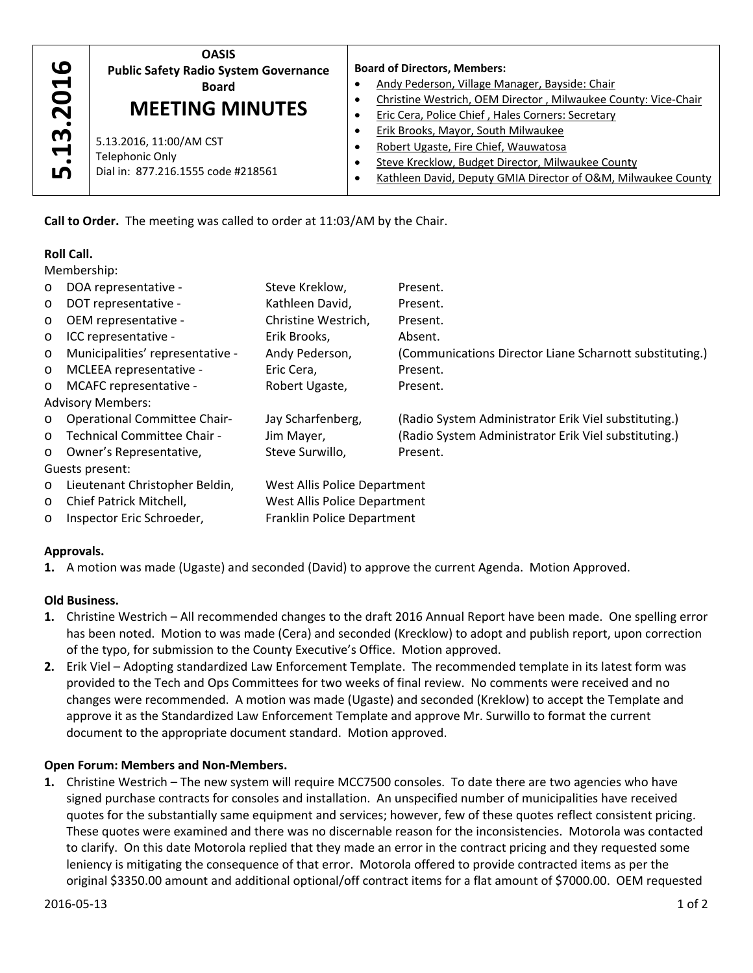

# **Roll Call.**

| .13.2016                                                  | <b>Public Safety Radio System Governance</b><br><b>Board</b><br><b>MEETING MINUTES</b>                                                                                                                                                                                                                                                                                                                                                                                                                                                                                                                                                                                                                                                                               |                                                              | <b>Board of Directors, Members:</b><br>Andy Pederson, Village Manager, Bayside: Chair<br>Christine Westrich, OEM Director, Milwaukee County: Vice-Chair<br>٠ |                                                                                                                                                                                                                                                                                                                                                                                                                                                                                                                                                                                                                                                                                                                                                                                                                                     |  |
|-----------------------------------------------------------|----------------------------------------------------------------------------------------------------------------------------------------------------------------------------------------------------------------------------------------------------------------------------------------------------------------------------------------------------------------------------------------------------------------------------------------------------------------------------------------------------------------------------------------------------------------------------------------------------------------------------------------------------------------------------------------------------------------------------------------------------------------------|--------------------------------------------------------------|--------------------------------------------------------------------------------------------------------------------------------------------------------------|-------------------------------------------------------------------------------------------------------------------------------------------------------------------------------------------------------------------------------------------------------------------------------------------------------------------------------------------------------------------------------------------------------------------------------------------------------------------------------------------------------------------------------------------------------------------------------------------------------------------------------------------------------------------------------------------------------------------------------------------------------------------------------------------------------------------------------------|--|
|                                                           |                                                                                                                                                                                                                                                                                                                                                                                                                                                                                                                                                                                                                                                                                                                                                                      |                                                              | $\bullet$                                                                                                                                                    | Eric Cera, Police Chief, Hales Corners: Secretary                                                                                                                                                                                                                                                                                                                                                                                                                                                                                                                                                                                                                                                                                                                                                                                   |  |
|                                                           | 5.13.2016, 11:00/AM CST                                                                                                                                                                                                                                                                                                                                                                                                                                                                                                                                                                                                                                                                                                                                              |                                                              | ٠<br>$\bullet$                                                                                                                                               | Erik Brooks, Mayor, South Milwaukee<br>Robert Ugaste, Fire Chief, Wauwatosa                                                                                                                                                                                                                                                                                                                                                                                                                                                                                                                                                                                                                                                                                                                                                         |  |
|                                                           | <b>Telephonic Only</b>                                                                                                                                                                                                                                                                                                                                                                                                                                                                                                                                                                                                                                                                                                                                               |                                                              | $\bullet$                                                                                                                                                    | Steve Krecklow, Budget Director, Milwaukee County                                                                                                                                                                                                                                                                                                                                                                                                                                                                                                                                                                                                                                                                                                                                                                                   |  |
| ம                                                         | Dial in: 877.216.1555 code #218561                                                                                                                                                                                                                                                                                                                                                                                                                                                                                                                                                                                                                                                                                                                                   |                                                              |                                                                                                                                                              | Kathleen David, Deputy GMIA Director of O&M, Milwaukee County                                                                                                                                                                                                                                                                                                                                                                                                                                                                                                                                                                                                                                                                                                                                                                       |  |
|                                                           | Call to Order. The meeting was called to order at 11:03/AM by the Chair.                                                                                                                                                                                                                                                                                                                                                                                                                                                                                                                                                                                                                                                                                             |                                                              |                                                                                                                                                              |                                                                                                                                                                                                                                                                                                                                                                                                                                                                                                                                                                                                                                                                                                                                                                                                                                     |  |
| <b>Roll Call.</b>                                         |                                                                                                                                                                                                                                                                                                                                                                                                                                                                                                                                                                                                                                                                                                                                                                      |                                                              |                                                                                                                                                              |                                                                                                                                                                                                                                                                                                                                                                                                                                                                                                                                                                                                                                                                                                                                                                                                                                     |  |
| Membership:                                               |                                                                                                                                                                                                                                                                                                                                                                                                                                                                                                                                                                                                                                                                                                                                                                      |                                                              |                                                                                                                                                              |                                                                                                                                                                                                                                                                                                                                                                                                                                                                                                                                                                                                                                                                                                                                                                                                                                     |  |
| $\circ$                                                   | DOA representative -                                                                                                                                                                                                                                                                                                                                                                                                                                                                                                                                                                                                                                                                                                                                                 | Steve Kreklow,                                               |                                                                                                                                                              | Present.                                                                                                                                                                                                                                                                                                                                                                                                                                                                                                                                                                                                                                                                                                                                                                                                                            |  |
| $\circ$                                                   | Kathleen David,<br>DOT representative -                                                                                                                                                                                                                                                                                                                                                                                                                                                                                                                                                                                                                                                                                                                              |                                                              |                                                                                                                                                              | Present.                                                                                                                                                                                                                                                                                                                                                                                                                                                                                                                                                                                                                                                                                                                                                                                                                            |  |
| $\circ$                                                   | OEM representative -<br>Christine Westrich,                                                                                                                                                                                                                                                                                                                                                                                                                                                                                                                                                                                                                                                                                                                          |                                                              |                                                                                                                                                              | Present.                                                                                                                                                                                                                                                                                                                                                                                                                                                                                                                                                                                                                                                                                                                                                                                                                            |  |
| O                                                         | ICC representative -<br>Erik Brooks,                                                                                                                                                                                                                                                                                                                                                                                                                                                                                                                                                                                                                                                                                                                                 |                                                              |                                                                                                                                                              | Absent.                                                                                                                                                                                                                                                                                                                                                                                                                                                                                                                                                                                                                                                                                                                                                                                                                             |  |
| O                                                         | Municipalities' representative -<br>Andy Pederson,                                                                                                                                                                                                                                                                                                                                                                                                                                                                                                                                                                                                                                                                                                                   |                                                              |                                                                                                                                                              | (Communications Director Liane Scharnott substituting.)                                                                                                                                                                                                                                                                                                                                                                                                                                                                                                                                                                                                                                                                                                                                                                             |  |
| O                                                         | MCLEEA representative -<br>Eric Cera,                                                                                                                                                                                                                                                                                                                                                                                                                                                                                                                                                                                                                                                                                                                                |                                                              |                                                                                                                                                              | Present.                                                                                                                                                                                                                                                                                                                                                                                                                                                                                                                                                                                                                                                                                                                                                                                                                            |  |
| MCAFC representative -<br>Robert Ugaste,<br>Present.<br>O |                                                                                                                                                                                                                                                                                                                                                                                                                                                                                                                                                                                                                                                                                                                                                                      |                                                              |                                                                                                                                                              |                                                                                                                                                                                                                                                                                                                                                                                                                                                                                                                                                                                                                                                                                                                                                                                                                                     |  |
|                                                           | <b>Advisory Members:</b>                                                                                                                                                                                                                                                                                                                                                                                                                                                                                                                                                                                                                                                                                                                                             |                                                              |                                                                                                                                                              |                                                                                                                                                                                                                                                                                                                                                                                                                                                                                                                                                                                                                                                                                                                                                                                                                                     |  |
| O                                                         | <b>Operational Committee Chair-</b>                                                                                                                                                                                                                                                                                                                                                                                                                                                                                                                                                                                                                                                                                                                                  | Jay Scharfenberg,<br>Jim Mayer,                              |                                                                                                                                                              | (Radio System Administrator Erik Viel substituting.)                                                                                                                                                                                                                                                                                                                                                                                                                                                                                                                                                                                                                                                                                                                                                                                |  |
| O                                                         | Technical Committee Chair -                                                                                                                                                                                                                                                                                                                                                                                                                                                                                                                                                                                                                                                                                                                                          |                                                              |                                                                                                                                                              | (Radio System Administrator Erik Viel substituting.)                                                                                                                                                                                                                                                                                                                                                                                                                                                                                                                                                                                                                                                                                                                                                                                |  |
| O                                                         | Owner's Representative,                                                                                                                                                                                                                                                                                                                                                                                                                                                                                                                                                                                                                                                                                                                                              | Steve Surwillo,                                              |                                                                                                                                                              | Present.                                                                                                                                                                                                                                                                                                                                                                                                                                                                                                                                                                                                                                                                                                                                                                                                                            |  |
|                                                           | Guests present:                                                                                                                                                                                                                                                                                                                                                                                                                                                                                                                                                                                                                                                                                                                                                      |                                                              |                                                                                                                                                              |                                                                                                                                                                                                                                                                                                                                                                                                                                                                                                                                                                                                                                                                                                                                                                                                                                     |  |
| O                                                         | Lieutenant Christopher Beldin,<br>Chief Patrick Mitchell,                                                                                                                                                                                                                                                                                                                                                                                                                                                                                                                                                                                                                                                                                                            | West Allis Police Department<br>West Allis Police Department |                                                                                                                                                              |                                                                                                                                                                                                                                                                                                                                                                                                                                                                                                                                                                                                                                                                                                                                                                                                                                     |  |
| $\circ$                                                   | Inspector Eric Schroeder,<br>Franklin Police Department                                                                                                                                                                                                                                                                                                                                                                                                                                                                                                                                                                                                                                                                                                              |                                                              |                                                                                                                                                              |                                                                                                                                                                                                                                                                                                                                                                                                                                                                                                                                                                                                                                                                                                                                                                                                                                     |  |
| O                                                         |                                                                                                                                                                                                                                                                                                                                                                                                                                                                                                                                                                                                                                                                                                                                                                      |                                                              |                                                                                                                                                              |                                                                                                                                                                                                                                                                                                                                                                                                                                                                                                                                                                                                                                                                                                                                                                                                                                     |  |
| Approvals.                                                |                                                                                                                                                                                                                                                                                                                                                                                                                                                                                                                                                                                                                                                                                                                                                                      |                                                              |                                                                                                                                                              |                                                                                                                                                                                                                                                                                                                                                                                                                                                                                                                                                                                                                                                                                                                                                                                                                                     |  |
|                                                           |                                                                                                                                                                                                                                                                                                                                                                                                                                                                                                                                                                                                                                                                                                                                                                      |                                                              |                                                                                                                                                              | 1. A motion was made (Ugaste) and seconded (David) to approve the current Agenda. Motion Approved.                                                                                                                                                                                                                                                                                                                                                                                                                                                                                                                                                                                                                                                                                                                                  |  |
| <b>Old Business.</b>                                      |                                                                                                                                                                                                                                                                                                                                                                                                                                                                                                                                                                                                                                                                                                                                                                      |                                                              |                                                                                                                                                              |                                                                                                                                                                                                                                                                                                                                                                                                                                                                                                                                                                                                                                                                                                                                                                                                                                     |  |
|                                                           | Christine Westrich - All recommended changes to the draft 2016 Annual Report have been made. One spelling error<br>has been noted. Motion to was made (Cera) and seconded (Krecklow) to adopt and publish report, upon correction<br>of the typo, for submission to the County Executive's Office. Motion approved.<br>2. Erik Viel - Adopting standardized Law Enforcement Template. The recommended template in its latest form was<br>provided to the Tech and Ops Committees for two weeks of final review. No comments were received and no<br>changes were recommended. A motion was made (Ugaste) and seconded (Kreklow) to accept the Template and<br>approve it as the Standardized Law Enforcement Template and approve Mr. Surwillo to format the current |                                                              |                                                                                                                                                              |                                                                                                                                                                                                                                                                                                                                                                                                                                                                                                                                                                                                                                                                                                                                                                                                                                     |  |
|                                                           | document to the appropriate document standard. Motion approved.                                                                                                                                                                                                                                                                                                                                                                                                                                                                                                                                                                                                                                                                                                      |                                                              |                                                                                                                                                              |                                                                                                                                                                                                                                                                                                                                                                                                                                                                                                                                                                                                                                                                                                                                                                                                                                     |  |
|                                                           | Open Forum: Members and Non-Members.                                                                                                                                                                                                                                                                                                                                                                                                                                                                                                                                                                                                                                                                                                                                 |                                                              |                                                                                                                                                              | 1. Christine Westrich - The new system will require MCC7500 consoles. To date there are two agencies who have<br>signed purchase contracts for consoles and installation. An unspecified number of municipalities have received<br>quotes for the substantially same equipment and services; however, few of these quotes reflect consistent pricing.<br>These quotes were examined and there was no discernable reason for the inconsistencies. Motorola was contacted<br>to clarify. On this date Motorola replied that they made an error in the contract pricing and they requested some<br>leniency is mitigating the consequence of that error. Motorola offered to provide contracted items as per the<br>original \$3350.00 amount and additional optional/off contract items for a flat amount of \$7000.00. OEM requested |  |

# **Approvals.**

# **Old Business.**

- **1.** Christine Westrich All recommended changes to the draft 2016 Annual Report have been made. One spelling error has been noted. Motion to was made (Cera) and seconded (Krecklow) to adopt and publish report, upon correction of the typo, for submission to the County Executive's Office. Motion approved.
- **2.** Erik Viel Adopting standardized Law Enforcement Template. The recommended template in its latest form was provided to the Tech and Ops Committees for two weeks of final review. No comments were received and no changes were recommended. A motion was made (Ugaste) and seconded (Kreklow) to accept the Template and approve it as the Standardized Law Enforcement Template and approve Mr. Surwillo to format the current document to the appropriate document standard. Motion approved.

# **Open Forum: Members and Non‐Members.**